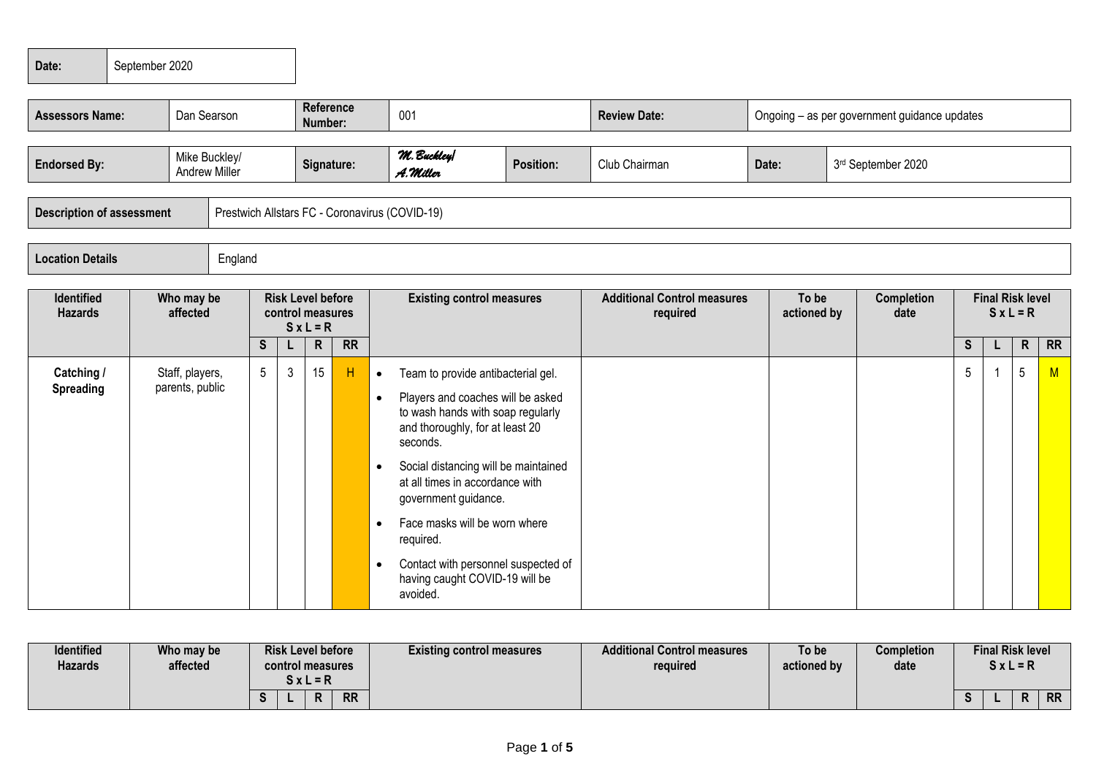| Date:                                                 | September 2020 |                                    |            |                             |                                            |                  |                        |                                                                                                                                                                                                                                                                                                                                                     |                             |                                              |                                              |                  |  |  |                                  |  |                                    |                      |  |                           |                                        |  |  |  |
|-------------------------------------------------------|----------------|------------------------------------|------------|-----------------------------|--------------------------------------------|------------------|------------------------|-----------------------------------------------------------------------------------------------------------------------------------------------------------------------------------------------------------------------------------------------------------------------------------------------------------------------------------------------------|-----------------------------|----------------------------------------------|----------------------------------------------|------------------|--|--|----------------------------------|--|------------------------------------|----------------------|--|---------------------------|----------------------------------------|--|--|--|
| <b>Assessors Name:</b><br>Dan Searson                 |                |                                    |            | <b>Reference</b><br>Number: |                                            | 001              |                        | <b>Review Date:</b>                                                                                                                                                                                                                                                                                                                                 |                             | Ongoing – as per government guidance updates |                                              |                  |  |  |                                  |  |                                    |                      |  |                           |                                        |  |  |  |
| Mike Buckley/<br><b>Endorsed By:</b><br>Andrew Miller |                |                                    | Signature: |                             | M. Buckley<br><b>Position:</b><br>A.Miller |                  | Club Chairman          |                                                                                                                                                                                                                                                                                                                                                     | Date:<br>3rd September 2020 |                                              |                                              |                  |  |  |                                  |  |                                    |                      |  |                           |                                        |  |  |  |
| <b>Description of assessment</b>                      |                |                                    |            |                             |                                            |                  |                        | Prestwich Allstars FC - Coronavirus (COVID-19)                                                                                                                                                                                                                                                                                                      |                             |                                              |                                              |                  |  |  |                                  |  |                                    |                      |  |                           |                                        |  |  |  |
| <b>Location Details</b>                               |                |                                    | England    |                             |                                            |                  |                        |                                                                                                                                                                                                                                                                                                                                                     |                             |                                              |                                              |                  |  |  |                                  |  |                                    |                      |  |                           |                                        |  |  |  |
| <b>Identified</b><br><b>Hazards</b>                   |                |                                    |            |                             |                                            |                  | Who may be<br>affected |                                                                                                                                                                                                                                                                                                                                                     |                             |                                              | <b>Risk Level before</b><br>control measures | $S \times L = R$ |  |  | <b>Existing control measures</b> |  | <b>Additional Control measures</b> | To be<br>actioned by |  | <b>Completion</b><br>date | <b>Final Risk level</b><br>$S x L = R$ |  |  |  |
|                                                       |                |                                    |            | <sub>S</sub>                |                                            | $\mathsf{R}$     | $\overline{RR}$        |                                                                                                                                                                                                                                                                                                                                                     |                             |                                              |                                              |                  |  |  | S                                |  | $\mathsf{R}$                       | R                    |  |                           |                                        |  |  |  |
| Catching /<br><b>Spreading</b>                        |                | Staff, players,<br>parents, public |            | $5\phantom{.0}$             | $\mathbf{3}$                               | 15 <sup>15</sup> | H                      | Team to provide antibacterial gel.<br>$\bullet$<br>Players and coaches will be asked<br>$\bullet$<br>to wash hands with soap regularly<br>and thoroughly, for at least 20<br>seconds.<br>Social distancing will be maintained<br>$\bullet$<br>at all times in accordance with<br>government guidance.<br>Face masks will be worn where<br>$\bullet$ |                             |                                              |                                              |                  |  |  | $5\phantom{.0}$                  |  | $5\phantom{.0}$                    | M                    |  |                           |                                        |  |  |  |
|                                                       |                |                                    |            |                             |                                            |                  |                        | required.<br>Contact with personnel suspected of<br>$\bullet$<br>having caught COVID-19 will be<br>avoided.                                                                                                                                                                                                                                         |                             |                                              |                                              |                  |  |  |                                  |  |                                    |                      |  |                           |                                        |  |  |  |

| Identified<br><b>Hazards</b> | Who may be<br>affected | <b>Risk Level before</b><br>control measures<br>S x L = R | <b>Existing control measures</b> | <b>Additional Control measures</b><br>required | To be<br>actioned by | <b>Completion</b><br>date | <b>Final Risk level</b><br>$SxL = R$ |           |
|------------------------------|------------------------|-----------------------------------------------------------|----------------------------------|------------------------------------------------|----------------------|---------------------------|--------------------------------------|-----------|
|                              |                        | <b>RR</b>                                                 |                                  |                                                |                      |                           |                                      | <b>RR</b> |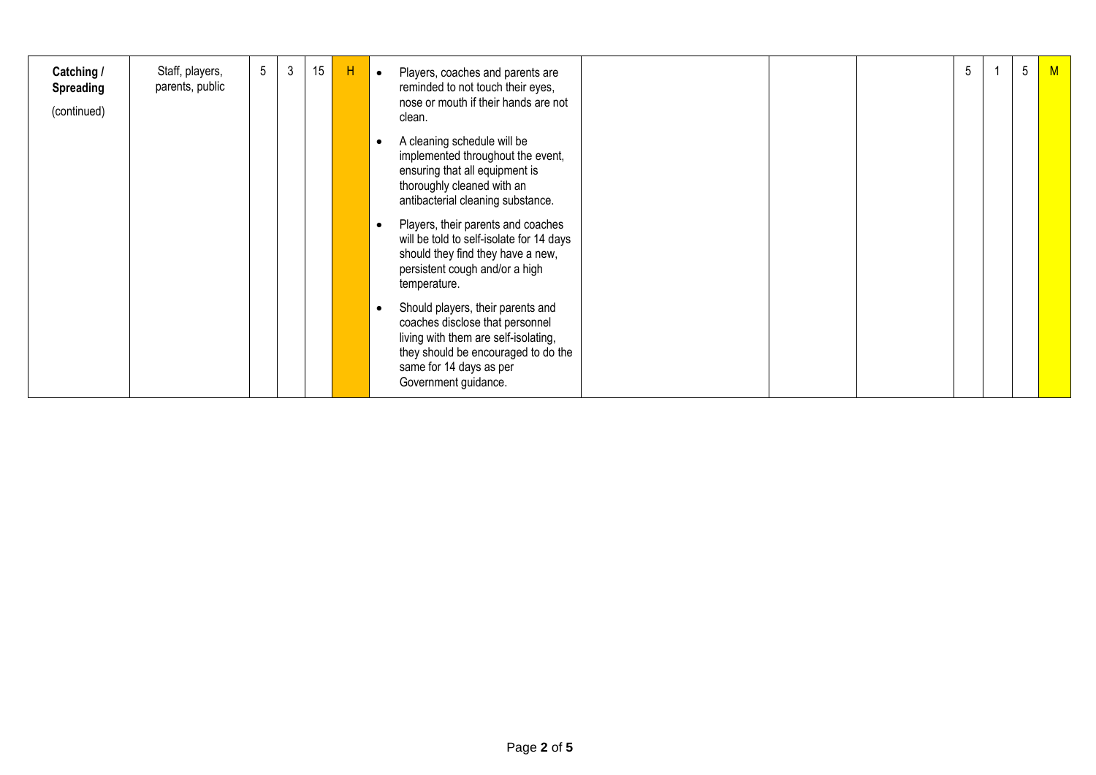| Catching /<br>Spreading<br>(continued) | Staff, players,<br>parents, public | $5\overline{)}$ | 3 | 15 | н | Players, coaches and parents are<br>reminded to not touch their eyes,<br>nose or mouth if their hands are not<br>clean.                                                                                | 5 | 5 | M |
|----------------------------------------|------------------------------------|-----------------|---|----|---|--------------------------------------------------------------------------------------------------------------------------------------------------------------------------------------------------------|---|---|---|
|                                        |                                    |                 |   |    |   | A cleaning schedule will be<br>implemented throughout the event,<br>ensuring that all equipment is<br>thoroughly cleaned with an<br>antibacterial cleaning substance.                                  |   |   |   |
|                                        |                                    |                 |   |    |   | Players, their parents and coaches<br>will be told to self-isolate for 14 days<br>should they find they have a new,<br>persistent cough and/or a high<br>temperature.                                  |   |   |   |
|                                        |                                    |                 |   |    |   | Should players, their parents and<br>coaches disclose that personnel<br>living with them are self-isolating,<br>they should be encouraged to do the<br>same for 14 days as per<br>Government guidance. |   |   |   |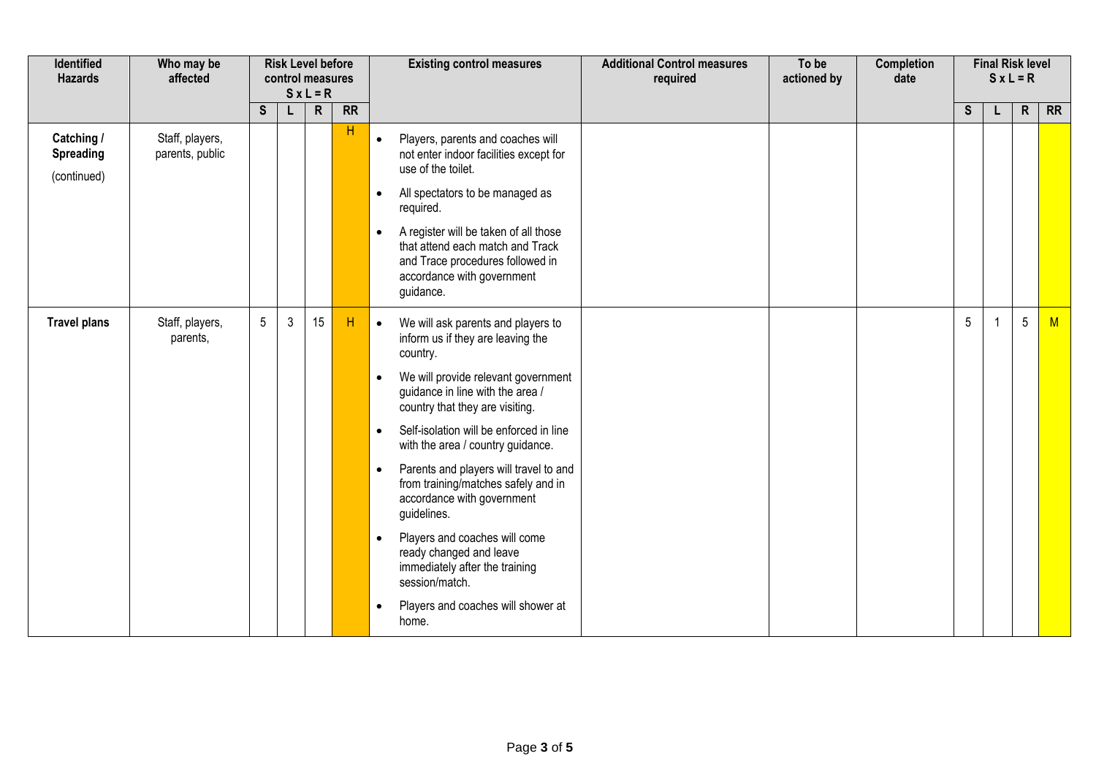| Identified<br><b>Hazards</b>           | Who may be<br>affected             | <b>Risk Level before</b><br>control measures<br>$S x L = R$ |              |                | <b>Existing control measures</b> | <b>Additional Control measures</b><br>required                                                                                                                                                                                                                                                                                                                                                                                                                                                                                                                                                                                                               | To be<br>actioned by | <b>Completion</b><br>date | <b>Final Risk level</b><br>$S x L = R$ |                 |    |                 |           |
|----------------------------------------|------------------------------------|-------------------------------------------------------------|--------------|----------------|----------------------------------|--------------------------------------------------------------------------------------------------------------------------------------------------------------------------------------------------------------------------------------------------------------------------------------------------------------------------------------------------------------------------------------------------------------------------------------------------------------------------------------------------------------------------------------------------------------------------------------------------------------------------------------------------------------|----------------------|---------------------------|----------------------------------------|-----------------|----|-----------------|-----------|
|                                        |                                    | S                                                           | Q            | $\overline{R}$ | $\overline{RR}$                  |                                                                                                                                                                                                                                                                                                                                                                                                                                                                                                                                                                                                                                                              |                      |                           |                                        | $\mathsf{s}$    | L  | $\mathsf{R}$    | <b>RR</b> |
| Catching /<br>Spreading<br>(continued) | Staff, players,<br>parents, public |                                                             |              |                | H                                | Players, parents and coaches will<br>$\bullet$<br>not enter indoor facilities except for<br>use of the toilet.<br>All spectators to be managed as<br>$\bullet$                                                                                                                                                                                                                                                                                                                                                                                                                                                                                               |                      |                           |                                        |                 |    |                 |           |
|                                        |                                    |                                                             |              |                |                                  | required.<br>A register will be taken of all those<br>$\bullet$<br>that attend each match and Track<br>and Trace procedures followed in<br>accordance with government<br>guidance.                                                                                                                                                                                                                                                                                                                                                                                                                                                                           |                      |                           |                                        |                 |    |                 |           |
| <b>Travel plans</b>                    | Staff, players,<br>parents,        | $5\phantom{.0}$                                             | $\mathbf{3}$ | 15             | H                                | We will ask parents and players to<br>$\bullet$<br>inform us if they are leaving the<br>country.<br>We will provide relevant government<br>$\bullet$<br>guidance in line with the area /<br>country that they are visiting.<br>Self-isolation will be enforced in line<br>$\bullet$<br>with the area / country guidance.<br>Parents and players will travel to and<br>$\bullet$<br>from training/matches safely and in<br>accordance with government<br>guidelines.<br>Players and coaches will come<br>$\bullet$<br>ready changed and leave<br>immediately after the training<br>session/match.<br>Players and coaches will shower at<br>$\bullet$<br>home. |                      |                           |                                        | $5\phantom{.0}$ | -1 | $5\phantom{.0}$ | M         |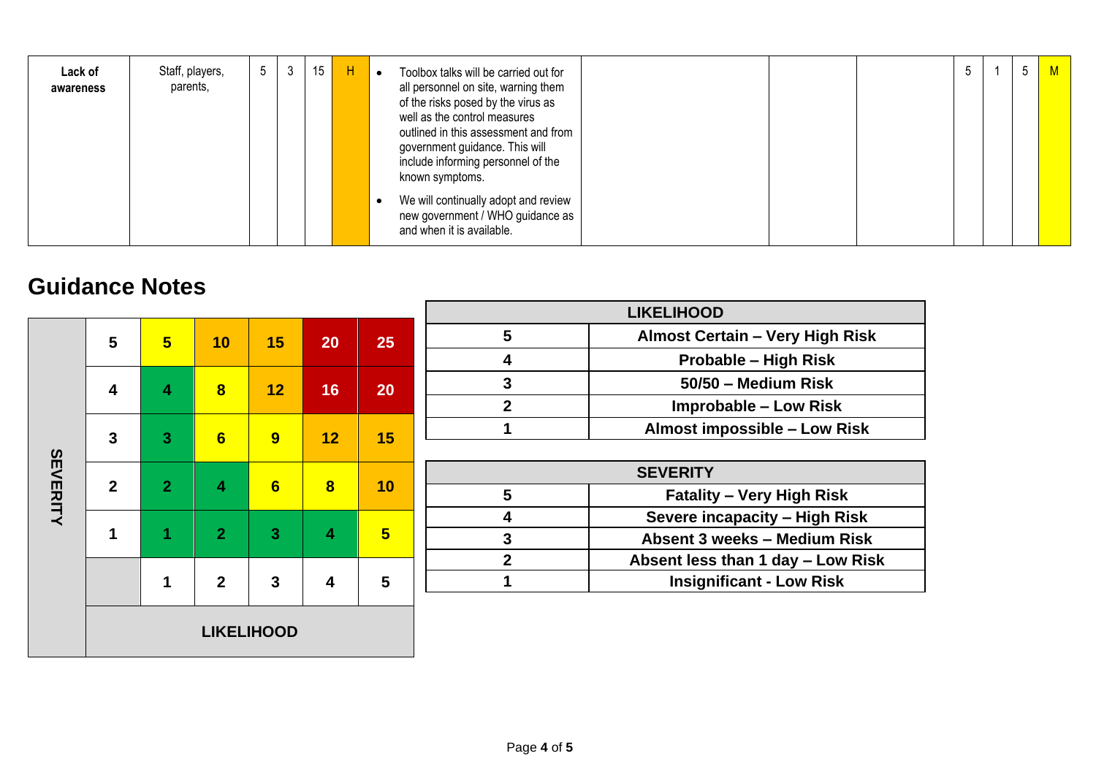| Lack of<br>awareness | Staff, players,<br>parents, | 5 <sup>5</sup> | 3 | 15 | H | Toolbox talks will be carried out for<br>all personnel on site, warning them<br>of the risks posed by the virus as<br>well as the control measures<br>outlined in this assessment and from<br>government guidance. This will<br>include informing personnel of the<br>known symptoms.<br>We will continually adopt and review<br>new government / WHO guidance as | ა | 5 | M . |
|----------------------|-----------------------------|----------------|---|----|---|-------------------------------------------------------------------------------------------------------------------------------------------------------------------------------------------------------------------------------------------------------------------------------------------------------------------------------------------------------------------|---|---|-----|
|                      |                             |                |   |    |   | and when it is available.                                                                                                                                                                                                                                                                                                                                         |   |   |     |

## **Guidance Notes**

|                 |                     |                |                         |                |                         |                 | <b>LIKELIHOOD</b>                                   |  |  |  |  |
|-----------------|---------------------|----------------|-------------------------|----------------|-------------------------|-----------------|-----------------------------------------------------|--|--|--|--|
|                 | 5<br>$5\overline{}$ |                | 10                      | 15             | 20                      | 25              | 5<br><b>Almost Certain - Very High Risk</b>         |  |  |  |  |
|                 |                     |                |                         |                |                         |                 | 4<br><b>Probable - High Risk</b>                    |  |  |  |  |
|                 | 4                   | 4              | $\overline{\mathbf{8}}$ | 12             | 16                      | 20              | 3<br>50/50 - Medium Risk                            |  |  |  |  |
|                 |                     |                |                         |                |                         |                 | $\overline{2}$<br><b>Improbable - Low Risk</b>      |  |  |  |  |
|                 | 3                   | 3              | 6                       | 9              | 12                      | 15              | Almost impossible - Low Risk                        |  |  |  |  |
|                 |                     |                |                         |                |                         |                 |                                                     |  |  |  |  |
| <b>SEVERITY</b> |                     |                |                         |                |                         |                 | <b>SEVERITY</b>                                     |  |  |  |  |
|                 | $\overline{2}$      | 2 <sup>1</sup> | 4                       | $6\phantom{1}$ | $\overline{\mathbf{8}}$ | 10              | $5\phantom{1}$<br><b>Fatality - Very High Risk</b>  |  |  |  |  |
|                 |                     |                |                         | 3              |                         | $5\overline{)}$ | Severe incapacity - High Risk<br>4                  |  |  |  |  |
|                 | 1                   |                | $\overline{2}$          |                | 4                       |                 | 3<br>Absent 3 weeks - Medium Risk                   |  |  |  |  |
|                 |                     |                |                         |                |                         |                 | $\overline{2}$<br>Absent less than 1 day - Low Risk |  |  |  |  |
|                 |                     | 1              | $\overline{2}$          | 3              | 4                       | 5               | <b>Insignificant - Low Risk</b>                     |  |  |  |  |
|                 |                     |                |                         |                |                         |                 |                                                     |  |  |  |  |
|                 | <b>LIKELIHOOD</b>   |                |                         |                |                         |                 |                                                     |  |  |  |  |